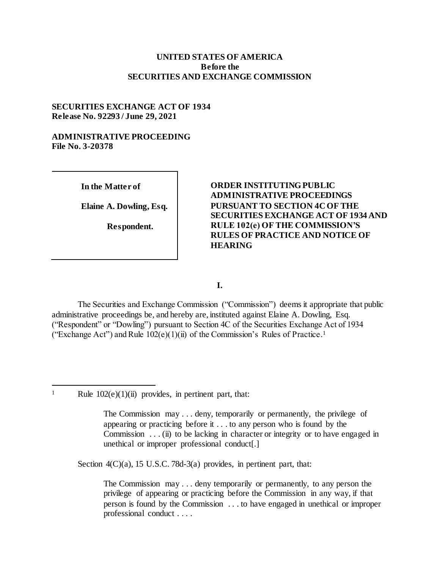### **UNITED STATES OF AMERICA Before the SECURITIES AND EXCHANGE COMMISSION**

## **SECURITIES EXCHANGE ACT OF 1934 Release No. 92293 / June 29, 2021**

## **ADMINISTRATIVE PROCEEDING File No. 3-20378**

**In the Matter of**

l

**Elaine A. Dowling, Esq.**

**Respondent.**

# **ORDER INSTITUTING PUBLIC ADMINISTRATIVE PROCEEDINGS PURSUANT TO SECTION 4C OF THE SECURITIES EXCHANGE ACT OF 1934 AND RULE 102(e) OF THE COMMISSION'S RULES OF PRACTICE AND NOTICE OF HEARING**

**I.**

The Securities and Exchange Commission ("Commission") deems it appropriate that public administrative proceedings be, and hereby are, instituted against Elaine A. Dowling, Esq. ("Respondent" or "Dowling") pursuant to Section 4C of the Securities Exchange Act of 1934 ("Exchange Act") and Rule  $102(e)(1)(ii)$  of the Commission's Rules of Practice.<sup>1</sup>

<sup>1</sup> Rule  $102(e)(1)(ii)$  provides, in pertinent part, that:

The Commission may . . . deny, temporarily or permanently, the privilege of appearing or practicing before it . . . to any person who is found by the Commission . . . (ii) to be lacking in character or integrity or to have engaged in unethical or improper professional conduct[.]

Section  $4(C)(a)$ , 15 U.S.C. 78d-3(a) provides, in pertinent part, that:

The Commission may . . . deny temporarily or permanently, to any person the privilege of appearing or practicing before the Commission in any way, if that person is found by the Commission . . . to have engaged in unethical or improper professional conduct . . . .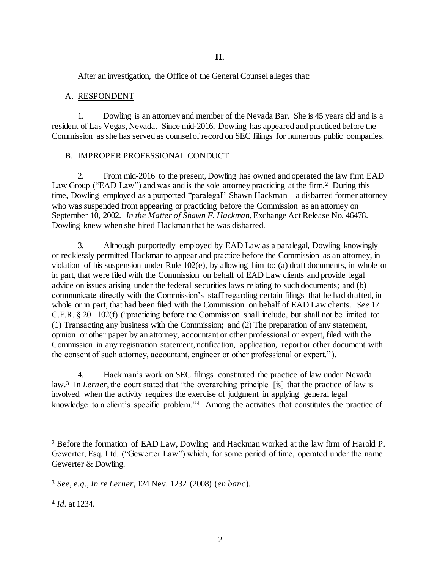**II.**

After an investigation, the Office of the General Counsel alleges that:

### A. RESPONDENT

1. Dowling is an attorney and member of the Nevada Bar. She is 45 years old and is a resident of Las Vegas, Nevada. Since mid-2016, Dowling has appeared and practiced before the Commission as she has served as counsel of record on SEC filings for numerous public companies.

### B. IMPROPER PROFESSIONAL CONDUCT

2. From mid-2016 to the present, Dowling has owned and operated the law firm EAD Law Group ("EAD Law") and was and is the sole attorney practicing at the firm.<sup>2</sup> During this time, Dowling employed as a purported "paralegal" Shawn Hackman—a disbarred former attorney who was suspended from appearing or practicing before the Commission as an attorney on September 10, 2002. *In the Matter of Shawn F. Hackman*, Exchange Act Release No. 46478. Dowling knew when she hired Hackman that he was disbarred.

3. Although purportedly employed by EAD Law as a paralegal, Dowling knowingly or recklessly permitted Hackman to appear and practice before the Commission as an attorney, in violation of his suspension under Rule 102(e), by allowing him to: (a) draft documents, in whole or in part, that were filed with the Commission on behalf of EAD Law clients and provide legal advice on issues arising under the federal securities laws relating to such documents; and (b) communicate directly with the Commission's staff regarding certain filings that he had drafted, in whole or in part, that had been filed with the Commission on behalf of EAD Law clients. *See* 17 C.F.R. § 201.102(f) ("practicing before the Commission shall include, but shall not be limited to: (1) Transacting any business with the Commission; and (2) The preparation of any statement, opinion or other paper by an attorney, accountant or other professional or expert, filed with the Commission in any registration statement, notification, application, report or other document with the consent of such attorney, accountant, engineer or other professional or expert.").

4. Hackman's work on SEC filings constituted the practice of law under Nevada law.<sup>3</sup> In *Lerner*, the court stated that "the overarching principle [is] that the practice of law is involved when the activity requires the exercise of judgment in applying general legal knowledge to a client's specific problem."<sup>4</sup> Among the activities that constitutes the practice of

j

<sup>2</sup> Before the formation of EAD Law, Dowling and Hackman worked at the law firm of Harold P. Gewerter, Esq. Ltd. ("Gewerter Law") which, for some period of time, operated under the name Gewerter & Dowling.

<sup>3</sup> *See, e.g., In re Lerner*, 124 Nev. 1232 (2008) (*en banc*).

<sup>4</sup> *Id.* at 1234.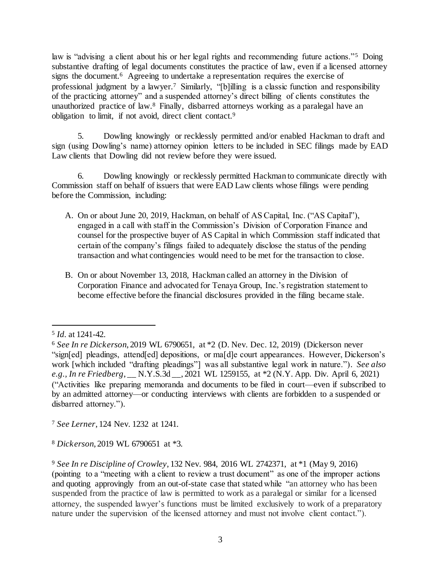law is "advising a client about his or her legal rights and recommending future actions."<sup>5</sup> Doing substantive drafting of legal documents constitutes the practice of law, even if a licensed attorney signs the document.<sup>6</sup> Agreeing to undertake a representation requires the exercise of professional judgment by a lawyer.<sup>7</sup> Similarly, "[b]illing is a classic function and responsibility of the practicing attorney" and a suspended attorney's direct billing of clients constitutes the unauthorized practice of law.<sup>8</sup> Finally, disbarred attorneys working as a paralegal have an obligation to limit, if not avoid, direct client contact.<sup>9</sup>

5. Dowling knowingly or recklessly permitted and/or enabled Hackman to draft and sign (using Dowling's name) attorney opinion letters to be included in SEC filings made by EAD Law clients that Dowling did not review before they were issued.

6. Dowling knowingly or recklessly permitted Hackman to communicate directly with Commission staff on behalf of issuers that were EAD Law clients whose filings were pending before the Commission, including:

- A. On or about June 20, 2019, Hackman, on behalf of AS Capital, Inc. ("AS Capital"), engaged in a call with staff in the Commission's Division of Corporation Finance and counsel for the prospective buyer of AS Capital in which Commission staff indicated that certain of the company's filings failed to adequately disclose the status of the pending transaction and what contingencies would need to be met for the transaction to close.
- B. On or about November 13, 2018, Hackman called an attorney in the Division of Corporation Finance and advocated for Tenaya Group, Inc.'s registration statement to become effective before the financial disclosures provided in the filing became stale.

<sup>7</sup> *See Lerner*, 124 Nev. 1232 at 1241.

<sup>8</sup> *Dickerson*, 2019 WL 6790651 at \*3.

l 5 *Id.* at 1241-42.

<sup>6</sup> *See In re Dickerson*, 2019 WL 6790651, at \*2 (D. Nev. Dec. 12, 2019) (Dickerson never "sign[ed] pleadings, attend[ed] depositions, or ma[d]e court appearances. However, Dickerson's work [which included "drafting pleadings"] was all substantive legal work in nature."). *See also e.g., In re Friedberg*, \_\_ N.Y.S.3d \_\_, 2021 WL 1259155, at \*2 (N.Y. App. Div. April 6, 2021) ("Activities like preparing memoranda and documents to be filed in court—even if subscribed to by an admitted attorney—or conducting interviews with clients are forbidden to a suspended or disbarred attorney.").

<sup>9</sup> *See In re Discipline of Crowley*, 132 Nev. 984, 2016 WL 2742371, at \*1 (May 9, 2016) (pointing to a "meeting with a client to review a trust document" as one of the improper actions and quoting approvingly from an out-of-state case that stated while "an attorney who has been suspended from the practice of law is permitted to work as a paralegal or similar for a licensed attorney, the suspended lawyer's functions must be limited exclusively to work of a preparatory nature under the supervision of the licensed attorney and must not involve client contact.").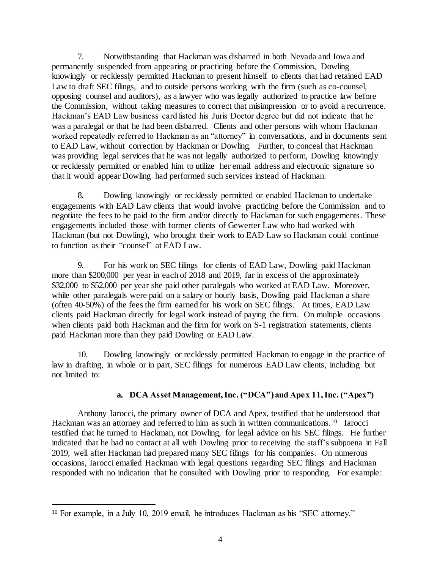7. Notwithstanding that Hackman was disbarred in both Nevada and Iowa and permanently suspended from appearing or practicing before the Commission, Dowling knowingly or recklessly permitted Hackman to present himself to clients that had retained EAD Law to draft SEC filings, and to outside persons working with the firm (such as co-counsel, opposing counsel and auditors), as a lawyer who was legally authorized to practice law before the Commission, without taking measures to correct that misimpression or to avoid a recurrence. Hackman's EAD Law business card listed his Juris Doctor degree but did not indicate that he was a paralegal or that he had been disbarred. Clients and other persons with whom Hackman worked repeatedly referred to Hackman as an "attorney" in conversations, and in documents sent to EAD Law, without correction by Hackman or Dowling. Further, to conceal that Hackman was providing legal services that he was not legally authorized to perform, Dowling knowingly or recklessly permitted or enabled him to utilize her email address and electronic signature so that it would appear Dowling had performed such services instead of Hackman.

8. Dowling knowingly or recklessly permitted or enabled Hackman to undertake engagements with EAD Law clients that would involve practicing before the Commission and to negotiate the fees to be paid to the firm and/or directly to Hackman for such engagements. These engagements included those with former clients of Gewerter Law who had worked with Hackman (but not Dowling), who brought their work to EAD Law so Hackman could continue to function as their "counsel" at EAD Law.

9. For his work on SEC filings for clients of EAD Law, Dowling paid Hackman more than \$200,000 per year in each of 2018 and 2019, far in excess of the approximately \$32,000 to \$52,000 per year she paid other paralegals who worked at EAD Law. Moreover, while other paralegals were paid on a salary or hourly basis, Dowling paid Hackman a share (often 40-50%) of the fees the firm earned for his work on SEC filings. At times, EAD Law clients paid Hackman directly for legal work instead of paying the firm. On multiple occasions when clients paid both Hackman and the firm for work on S-1 registration statements, clients paid Hackman more than they paid Dowling or EAD Law.

10. Dowling knowingly or recklessly permitted Hackman to engage in the practice of law in drafting, in whole or in part, SEC filings for numerous EAD Law clients, including but not limited to:

# **a. DCA Asset Management, Inc. ("DCA") and Apex 11, Inc. ("Apex")**

Anthony Iarocci, the primary owner of DCA and Apex, testified that he understood that Hackman was an attorney and referred to him as such in written communications.<sup>10</sup> Iarocci testified that he turned to Hackman, not Dowling, for legal advice on his SEC filings. He further indicated that he had no contact at all with Dowling prior to receiving the staff's subpoena in Fall 2019, well after Hackman had prepared many SEC filings for his companies. On numerous occasions, Iarocci emailed Hackman with legal questions regarding SEC filings and Hackman responded with no indication that he consulted with Dowling prior to responding. For example:

l

<sup>10</sup> For example, in a July 10, 2019 email, he introduces Hackman as his "SEC attorney."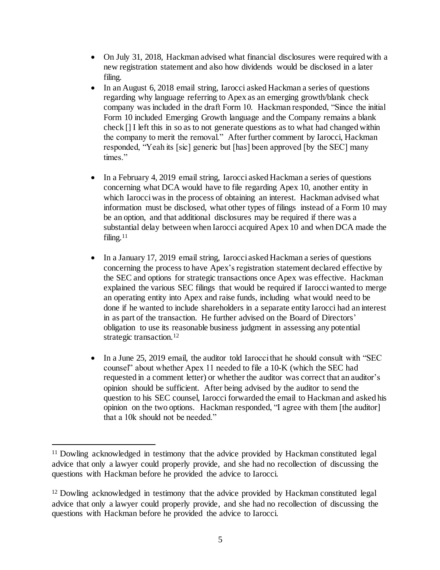- On July 31, 2018, Hackman advised what financial disclosures were required with a new registration statement and also how dividends would be disclosed in a later filing.
- In an August 6, 2018 email string, Iarocci asked Hackman a series of questions regarding why language referring to Apex as an emerging growth/blank check company was included in the draft Form 10. Hackman responded, "Since the initial Form 10 included Emerging Growth language and the Company remains a blank check [] I left this in so as to not generate questions as to what had changed within the company to merit the removal." After further comment by Iarocci, Hackman responded, "Yeah its [sic] generic but [has] been approved [by the SEC] many times."
- In a February 4, 2019 email string, Iarocci asked Hackman a series of questions concerning what DCA would have to file regarding Apex 10, another entity in which Iarocci was in the process of obtaining an interest. Hackman advised what information must be disclosed, what other types of filings instead of a Form 10 may be an option, and that additional disclosures may be required if there was a substantial delay between when Iarocci acquired Apex 10 and when DCA made the filing.<sup>11</sup>
- In a January 17, 2019 email string, Iarocci asked Hackman a series of questions concerning the process to have Apex's registration statement declared effective by the SEC and options for strategic transactions once Apex was effective. Hackman explained the various SEC filings that would be required if Iarocci wanted to merge an operating entity into Apex and raise funds, including what would need to be done if he wanted to include shareholders in a separate entity Iarocci had an interest in as part of the transaction. He further advised on the Board of Directors' obligation to use its reasonable business judgment in assessing any potential strategic transaction.<sup>12</sup>
- In a June 25, 2019 email, the auditor told Iarocci that he should consult with "SEC counsel" about whether Apex 11 needed to file a 10-K (which the SEC had requested in a comment letter) or whether the auditor was correct that an auditor's opinion should be sufficient. After being advised by the auditor to send the question to his SEC counsel, Iarocci forwarded the email to Hackman and asked his opinion on the two options. Hackman responded, "I agree with them [the auditor] that a 10k should not be needed."

l

<sup>&</sup>lt;sup>11</sup> Dowling acknowledged in testimony that the advice provided by Hackman constituted legal advice that only a lawyer could properly provide, and she had no recollection of discussing the questions with Hackman before he provided the advice to Iarocci.

<sup>&</sup>lt;sup>12</sup> Dowling acknowledged in testimony that the advice provided by Hackman constituted legal advice that only a lawyer could properly provide, and she had no recollection of discussing the questions with Hackman before he provided the advice to Iarocci.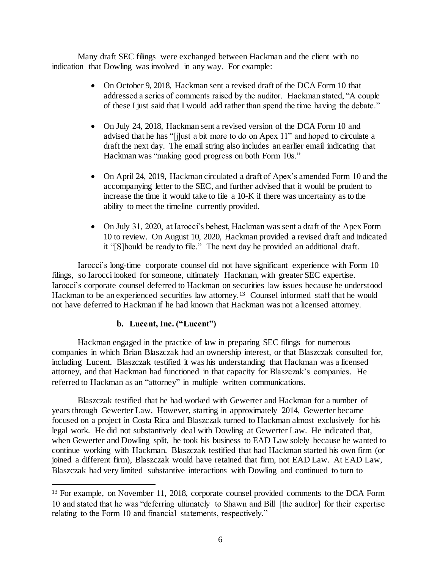Many draft SEC filings were exchanged between Hackman and the client with no indication that Dowling was involved in any way. For example:

- On October 9, 2018, Hackman sent a revised draft of the DCA Form 10 that addressed a series of comments raised by the auditor. Hackman stated, "A couple of these I just said that I would add rather than spend the time having the debate."
- On July 24, 2018, Hackman sent a revised version of the DCA Form 10 and advised that he has "[j]ust a bit more to do on Apex 11" and hoped to circulate a draft the next day. The email string also includes an earlier email indicating that Hackman was "making good progress on both Form 10s."
- On April 24, 2019, Hackman circulated a draft of Apex's amended Form 10 and the accompanying letter to the SEC, and further advised that it would be prudent to increase the time it would take to file a 10-K if there was uncertainty as to the ability to meet the timeline currently provided.
- On July 31, 2020, at Iarocci's behest, Hackman was sent a draft of the Apex Form 10 to review. On August 10, 2020, Hackman provided a revised draft and indicated it "[S]hould be ready to file." The next day he provided an additional draft.

Iarocci's long-time corporate counsel did not have significant experience with Form 10 filings, so Iarocci looked for someone, ultimately Hackman, with greater SEC expertise. Iarocci's corporate counsel deferred to Hackman on securities law issues because he understood Hackman to be an experienced securities law attorney.<sup>13</sup> Counsel informed staff that he would not have deferred to Hackman if he had known that Hackman was not a licensed attorney.

### **b. Lucent, Inc. ("Lucent")**

l

Hackman engaged in the practice of law in preparing SEC filings for numerous companies in which Brian Blaszczak had an ownership interest, or that Blaszczak consulted for, including Lucent. Blaszczak testified it was his understanding that Hackman was a licensed attorney, and that Hackman had functioned in that capacity for Blaszczak's companies. He referred to Hackman as an "attorney" in multiple written communications.

Blaszczak testified that he had worked with Gewerter and Hackman for a number of years through Gewerter Law. However, starting in approximately 2014, Gewerter became focused on a project in Costa Rica and Blaszczak turned to Hackman almost exclusively for his legal work. He did not substantively deal with Dowling at Gewerter Law. He indicated that, when Gewerter and Dowling split, he took his business to EAD Law solely because he wanted to continue working with Hackman. Blaszczak testified that had Hackman started his own firm (or joined a different firm), Blaszczak would have retained that firm, not EAD Law. At EAD Law, Blaszczak had very limited substantive interactions with Dowling and continued to turn to

<sup>&</sup>lt;sup>13</sup> For example, on November 11, 2018, corporate counsel provided comments to the DCA Form 10 and stated that he was "deferring ultimately to Shawn and Bill [the auditor] for their expertise relating to the Form 10 and financial statements, respectively."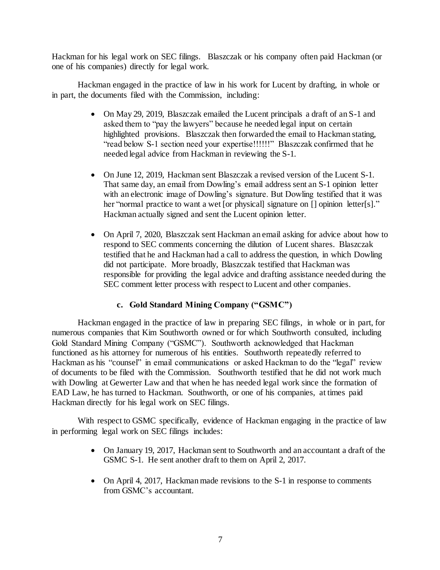Hackman for his legal work on SEC filings. Blaszczak or his company often paid Hackman (or one of his companies) directly for legal work.

Hackman engaged in the practice of law in his work for Lucent by drafting, in whole or in part, the documents filed with the Commission, including:

- On May 29, 2019, Blaszczak emailed the Lucent principals a draft of an S-1 and asked them to "pay the lawyers" because he needed legal input on certain highlighted provisions. Blaszczak then forwarded the email to Hackman stating, "read below S-1 section need your expertise!!!!!!" Blaszczak confirmed that he needed legal advice from Hackman in reviewing the S-1.
- On June 12, 2019, Hackman sent Blaszczak a revised version of the Lucent S-1. That same day, an email from Dowling's email address sent an S-1 opinion letter with an electronic image of Dowling's signature. But Dowling testified that it was her "normal practice to want a wet [or physical] signature on [] opinion letter[s]." Hackman actually signed and sent the Lucent opinion letter.
- On April 7, 2020, Blaszczak sent Hackman an email asking for advice about how to respond to SEC comments concerning the dilution of Lucent shares. Blaszczak testified that he and Hackman had a call to address the question, in which Dowling did not participate. More broadly, Blaszczak testified that Hackman was responsible for providing the legal advice and drafting assistance needed during the SEC comment letter process with respect to Lucent and other companies.

# **c. Gold Standard Mining Company ("GSMC")**

Hackman engaged in the practice of law in preparing SEC filings, in whole or in part, for numerous companies that Kim Southworth owned or for which Southworth consulted, including Gold Standard Mining Company ("GSMC"). Southworth acknowledged that Hackman functioned as his attorney for numerous of his entities. Southworth repeatedly referred to Hackman as his "counsel" in email communications or asked Hackman to do the "legal" review of documents to be filed with the Commission. Southworth testified that he did not work much with Dowling at Gewerter Law and that when he has needed legal work since the formation of EAD Law, he has turned to Hackman. Southworth, or one of his companies, at times paid Hackman directly for his legal work on SEC filings.

With respect to GSMC specifically, evidence of Hackman engaging in the practice of law in performing legal work on SEC filings includes:

- On January 19, 2017, Hackman sent to Southworth and an accountant a draft of the GSMC S-1. He sent another draft to them on April 2, 2017.
- On April 4, 2017, Hackman made revisions to the S-1 in response to comments from GSMC's accountant.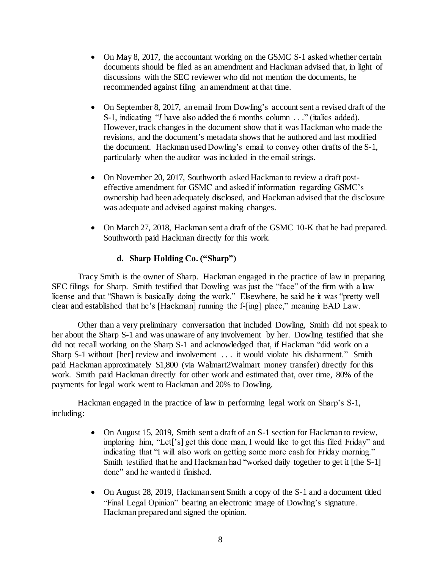- On May 8, 2017, the accountant working on the GSMC S-1 asked whether certain documents should be filed as an amendment and Hackman advised that, in light of discussions with the SEC reviewer who did not mention the documents, he recommended against filing an amendment at that time.
- On September 8, 2017, an email from Dowling's accountsent a revised draft of the S-1, indicating "*I* have also added the 6 months column . . ." (italics added). However, track changes in the document show that it was Hackman who made the revisions, and the document's metadata shows that he authored and last modified the document. Hackman used Dowling's email to convey other drafts of the S-1, particularly when the auditor was included in the email strings.
- On November 20, 2017, Southworth asked Hackman to review a draft posteffective amendment for GSMC and asked if information regarding GSMC's ownership had been adequately disclosed, and Hackman advised that the disclosure was adequate and advised against making changes.
- On March 27, 2018, Hackman sent a draft of the GSMC 10-K that he had prepared. Southworth paid Hackman directly for this work.

# **d. Sharp Holding Co. ("Sharp")**

Tracy Smith is the owner of Sharp. Hackman engaged in the practice of law in preparing SEC filings for Sharp. Smith testified that Dowling was just the "face" of the firm with a law license and that "Shawn is basically doing the work." Elsewhere, he said he it was "pretty well clear and established that he's [Hackman] running the f-[ing] place," meaning EAD Law.

Other than a very preliminary conversation that included Dowling, Smith did not speak to her about the Sharp S-1 and was unaware of any involvement by her. Dowling testified that she did not recall working on the Sharp S-1 and acknowledged that, if Hackman "did work on a Sharp S-1 without [her] review and involvement . . . it would violate his disbarment." Smith paid Hackman approximately \$1,800 (via Walmart2Walmart money transfer) directly for this work. Smith paid Hackman directly for other work and estimated that, over time, 80% of the payments for legal work went to Hackman and 20% to Dowling.

Hackman engaged in the practice of law in performing legal work on Sharp's S-1, including:

- On August 15, 2019, Smith sent a draft of an S-1 section for Hackman to review, imploring him, "Let['s] get this done man, I would like to get this filed Friday" and indicating that "I will also work on getting some more cash for Friday morning." Smith testified that he and Hackman had "worked daily together to get it [the S-1] done" and he wanted it finished.
- On August 28, 2019, Hackman sent Smith a copy of the S-1 and a document titled "Final Legal Opinion" bearing an electronic image of Dowling's signature. Hackman prepared and signed the opinion.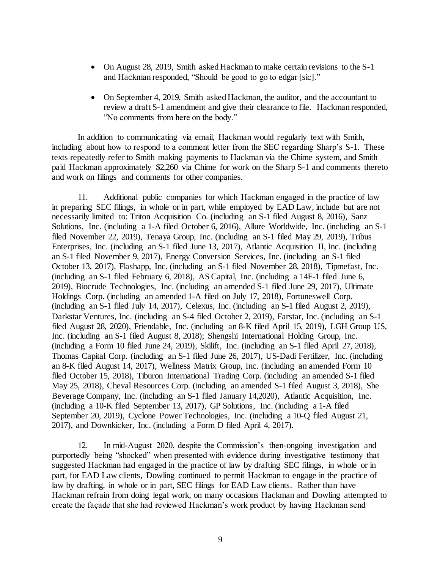- On August 28, 2019, Smith asked Hackman to make certain revisions to the S-1 and Hackman responded, "Should be good to go to edgar [sic]."
- On September 4, 2019, Smith asked Hackman, the auditor, and the accountant to review a draft S-1 amendment and give their clearance to file. Hackman responded, "No comments from here on the body."

In addition to communicating via email, Hackman would regularly text with Smith, including about how to respond to a comment letter from the SEC regarding Sharp's S-1. These texts repeatedly refer to Smith making payments to Hackman via the Chime system, and Smith paid Hackman approximately \$2,260 via Chime for work on the Sharp S-1 and comments thereto and work on filings and comments for other companies.

11. Additional public companies for which Hackman engaged in the practice of law in preparing SEC filings, in whole or in part, while employed by EAD Law, include but are not necessarily limited to: Triton Acquisition Co. (including an S-1 filed August 8, 2016), Sanz Solutions, Inc. (including a 1-A filed October 6, 2016), Allure Worldwide, Inc. (including an S-1 filed November 22, 2019), Tenaya Group, Inc. (including an S-1 filed May 29, 2019), Tribus Enterprises, Inc. (including an S-1 filed June 13, 2017), Atlantic Acquisition II, Inc. (including an S-1 filed November 9, 2017), Energy Conversion Services, Inc. (including an S-1 filed October 13, 2017), Flashapp, Inc. (including an S-1 filed November 28, 2018), Tipmefast, Inc. (including an S-1 filed February 6, 2018), AS Capital, Inc. (including a 14F-1 filed June 6, 2019), Biocrude Technologies, Inc. (including an amended S-1 filed June 29, 2017), Ultimate Holdings Corp. (including an amended 1-A filed on July 17, 2018), Fortuneswell Corp. (including an S-1 filed July 14, 2017), Celexus, Inc. (including an S-1 filed August 2, 2019), Darkstar Ventures, Inc. (including an S-4 filed October 2, 2019), Farstar, Inc. (including an S-1 filed August 28, 2020), Friendable, Inc. (including an 8-K filed April 15, 2019), LGH Group US, Inc. (including an S-1 filed August 8, 2018); Shengshi International Holding Group, Inc. (including a Form 10 filed June 24, 2019), Skilift, Inc. (including an S-1 filed April 27, 2018), Thomas Capital Corp. (including an S-1 filed June 26, 2017), US-Dadi Fertilizer, Inc. (including an 8-K filed August 14, 2017), Wellness Matrix Group, Inc. (including an amended Form 10 filed October 15, 2018), Tiburon International Trading Corp. (including an amended S-1 filed May 25, 2018), Cheval Resources Corp. (including an amended S-1 filed August 3, 2018), She Beverage Company, Inc. (including an S-1 filed January 14,2020), Atlantic Acquisition, Inc. (including a 10-K filed September 13, 2017), GP Solutions, Inc. (including a 1-A filed September 20, 2019), Cyclone Power Technologies, Inc. (including a 10-Q filed August 21, 2017), and Downkicker, Inc. (including a Form D filed April 4, 2017).

12. In mid-August 2020, despite the Commission's then-ongoing investigation and purportedly being "shocked" when presented with evidence during investigative testimony that suggested Hackman had engaged in the practice of law by drafting SEC filings, in whole or in part, for EAD Law clients, Dowling continued to permit Hackman to engage in the practice of law by drafting, in whole or in part, SEC filings for EAD Law clients. Rather than have Hackman refrain from doing legal work, on many occasions Hackman and Dowling attempted to create the façade that she had reviewed Hackman's work product by having Hackman send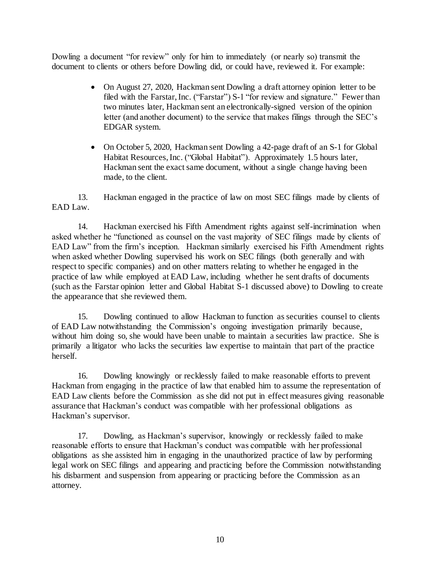Dowling a document "for review" only for him to immediately (or nearly so) transmit the document to clients or others before Dowling did, or could have, reviewed it. For example:

- On August 27, 2020, Hackman sent Dowling a draft attorney opinion letter to be filed with the Farstar, Inc. ("Farstar") S-1 "for review and signature." Fewer than two minutes later, Hackman sent an electronically-signed version of the opinion letter (and another document) to the service that makes filings through the SEC's EDGAR system.
- On October 5, 2020, Hackman sent Dowling a 42-page draft of an S-1 for Global Habitat Resources, Inc. ("Global Habitat"). Approximately 1.5 hours later, Hackman sent the exact same document, without a single change having been made, to the client.

13. Hackman engaged in the practice of law on most SEC filings made by clients of EAD Law.

14. Hackman exercised his Fifth Amendment rights against self-incrimination when asked whether he "functioned as counsel on the vast majority of SEC filings made by clients of EAD Law" from the firm's inception. Hackman similarly exercised his Fifth Amendment rights when asked whether Dowling supervised his work on SEC filings (both generally and with respect to specific companies) and on other matters relating to whether he engaged in the practice of law while employed at EAD Law, including whether he sent drafts of documents (such as the Farstar opinion letter and Global Habitat S-1 discussed above) to Dowling to create the appearance that she reviewed them.

15. Dowling continued to allow Hackman to function as securities counsel to clients of EAD Law notwithstanding the Commission's ongoing investigation primarily because, without him doing so, she would have been unable to maintain a securities law practice. She is primarily a litigator who lacks the securities law expertise to maintain that part of the practice herself.

16. Dowling knowingly or recklessly failed to make reasonable efforts to prevent Hackman from engaging in the practice of law that enabled him to assume the representation of EAD Law clients before the Commission as she did not put in effect measures giving reasonable assurance that Hackman's conduct was compatible with her professional obligations as Hackman's supervisor.

17. Dowling, as Hackman's supervisor, knowingly or recklessly failed to make reasonable efforts to ensure that Hackman's conduct was compatible with her professional obligations as she assisted him in engaging in the unauthorized practice of law by performing legal work on SEC filings and appearing and practicing before the Commission notwithstanding his disbarment and suspension from appearing or practicing before the Commission as an attorney.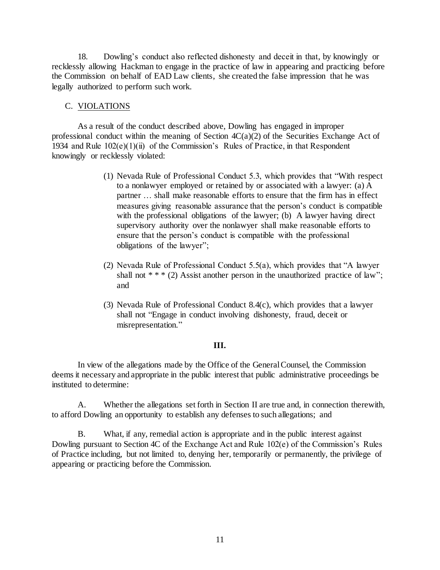18. Dowling's conduct also reflected dishonesty and deceit in that, by knowingly or recklessly allowing Hackman to engage in the practice of law in appearing and practicing before the Commission on behalf of EAD Law clients, she created the false impression that he was legally authorized to perform such work.

### C. VIOLATIONS

As a result of the conduct described above, Dowling has engaged in improper professional conduct within the meaning of Section  $4C(a)(2)$  of the Securities Exchange Act of 1934 and Rule  $102(e)(1)(ii)$  of the Commission's Rules of Practice, in that Respondent knowingly or recklessly violated:

- (1) Nevada Rule of Professional Conduct 5.3, which provides that "With respect to a nonlawyer employed or retained by or associated with a lawyer: (a) A partner … shall make reasonable efforts to ensure that the firm has in effect measures giving reasonable assurance that the person's conduct is compatible with the professional obligations of the lawyer; (b) A lawyer having direct supervisory authority over the nonlawyer shall make reasonable efforts to ensure that the person's conduct is compatible with the professional obligations of the lawyer";
- (2) Nevada Rule of Professional Conduct 5.5(a), which provides that "A lawyer shall not  $***$  (2) Assist another person in the unauthorized practice of law"; and
- (3) Nevada Rule of Professional Conduct 8.4(c), which provides that a lawyer shall not "Engage in conduct involving dishonesty, fraud, deceit or misrepresentation."

#### **III.**

In view of the allegations made by the Office of the General Counsel, the Commission deems it necessary and appropriate in the public interest that public administrative proceedings be instituted to determine:

A. Whether the allegations set forth in Section II are true and, in connection therewith, to afford Dowling an opportunity to establish any defenses to such allegations; and

B. What, if any, remedial action is appropriate and in the public interest against Dowling pursuant to Section 4C of the Exchange Act and Rule 102(e) of the Commission's Rules of Practice including, but not limited to, denying her, temporarily or permanently, the privilege of appearing or practicing before the Commission.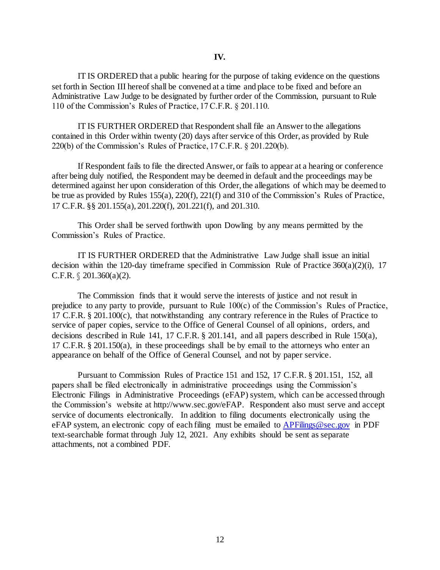IT IS ORDERED that a public hearing for the purpose of taking evidence on the questions set forth in Section III hereof shall be convened at a time and place to be fixed and before an Administrative Law Judge to be designated by further order of the Commission, pursuant to Rule 110 of the Commission's Rules of Practice, 17 C.F.R. § 201.110.

IT IS FURTHER ORDERED that Respondent shall file an Answer to the allegations contained in this Order within twenty (20) days after service of this Order, as provided by Rule 220(b) of the Commission's Rules of Practice, 17 C.F.R. § 201.220(b).

If Respondent fails to file the directed Answer, or fails to appear at a hearing or conference after being duly notified, the Respondent may be deemed in default and the proceedings may be determined against her upon consideration of this Order, the allegations of which may be deemed to be true as provided by Rules 155(a), 220(f), 221(f) and 310 of the Commission's Rules of Practice, 17 C.F.R. §§ 201.155(a), 201.220(f), 201.221(f), and 201.310.

This Order shall be served forthwith upon Dowling by any means permitted by the Commission's Rules of Practice.

IT IS FURTHER ORDERED that the Administrative Law Judge shall issue an initial decision within the 120-day timeframe specified in Commission Rule of Practice  $360(a)(2)(i)$ , 17 C.F.R.  $\sqrt{201.360(a)(2)}$ .

The Commission finds that it would serve the interests of justice and not result in prejudice to any party to provide, pursuant to Rule 100(c) of the Commission's Rules of Practice, 17 C.F.R. § 201.100(c), that notwithstanding any contrary reference in the Rules of Practice to service of paper copies, service to the Office of General Counsel of all opinions, orders, and decisions described in Rule 141, 17 C.F.R. § 201.141, and all papers described in Rule 150(a), 17 C.F.R. § 201.150(a), in these proceedings shall be by email to the attorneys who enter an appearance on behalf of the Office of General Counsel, and not by paper service.

Pursuant to Commission Rules of Practice 151 and 152, 17 C.F.R. § 201.151, 152, all papers shall be filed electronically in administrative proceedings using the Commission's Electronic Filings in Administrative Proceedings (eFAP) system, which can be accessed through the Commission's website at http://www.sec.gov/eFAP. Respondent also must serve and accept service of documents electronically. In addition to filing documents electronically using the eFAP system, an electronic copy of each filing must be emailed to [APFilings@sec.gov](mailto:APFilings@sec.gov) in PDF text-searchable format through July 12, 2021. Any exhibits should be sent as separate attachments, not a combined PDF.